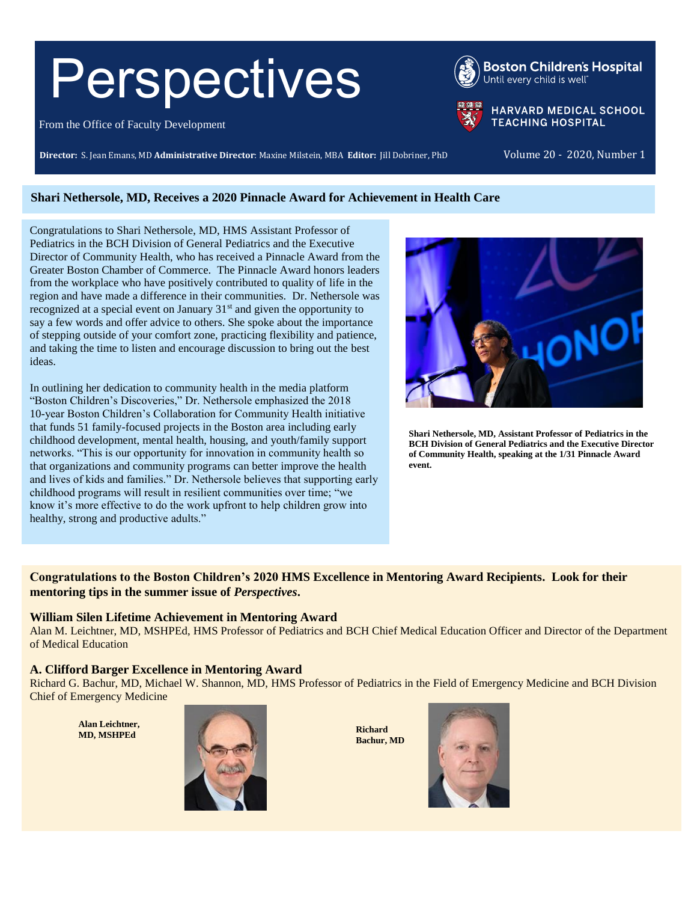# Perspectives

From the Office of Faculty Development

**Director:** S. Jean Emans, MD **Administrative Director**: Maxine Milstein, MBA **Editor:** Jill Dobriner, PhD Volume 20 - 2020, Number 1

HARVARD MEDICAL SCHOOL **TEACHING HOSPITAL** 

**Boston Children's Hospital** 

Until every child is well

#### **Shari Nethersole, MD, Receives a 2020 Pinnacle Award for Achievement in Health Care**

Congratulations to Shari Nethersole, MD, HMS Assistant Professor of Pediatrics in the BCH Division of General Pediatrics and the Executive Director of Community Health, who has received a Pinnacle Award from the Greater Boston Chamber of Commerce. The Pinnacle Award honors leaders from the workplace who have positively contributed to quality of life in the region and have made a difference in their communities. Dr. Nethersole was recognized at a special event on January  $31<sup>st</sup>$  and given the opportunity to say a few words and offer advice to others. She spoke about the importance of stepping outside of your comfort zone, practicing flexibility and patience, and taking the time to listen and encourage discussion to bring out the best ideas.

In outlining her dedication to community health in the media platform "Boston Children's Discoveries," Dr. Nethersole emphasized the 2018 10-year Boston Children's Collaboration for Community Health initiative that funds 51 family-focused projects in the Boston area including early childhood development, mental health, housing, and youth/family support networks. "This is our opportunity for innovation in community health so that organizations and community programs can better improve the health and lives of kids and families." Dr. Nethersole believes that supporting early childhood programs will result in resilient communities over time; "we know it's more effective to do the work upfront to help children grow into healthy, strong and productive adults."



**Shari Nethersole, MD, Assistant Professor of Pediatrics in the BCH Division of General Pediatrics and the Executive Director of Community Health, speaking at the 1/31 Pinnacle Award event.**

#### **Congratulations to the Boston Children's 2020 HMS Excellence in Mentoring Award Recipients. Look for their mentoring tips in the summer issue of** *Perspectives***.**

#### **William Silen Lifetime Achievement in Mentoring Award**

Alan M. Leichtner, MD, MSHPEd, HMS Professor of Pediatrics and BCH Chief Medical Education Officer and Director of the Department of Medical Education

#### **A. Clifford Barger Excellence in Mentoring Award**

Richard G. Bachur, MD, Michael W. Shannon, MD, HMS Professor of Pediatrics in the Field of Emergency Medicine and BCH Division Chief of Emergency Medicine

**Alan Leichtner,** 



**Bachur, MD**

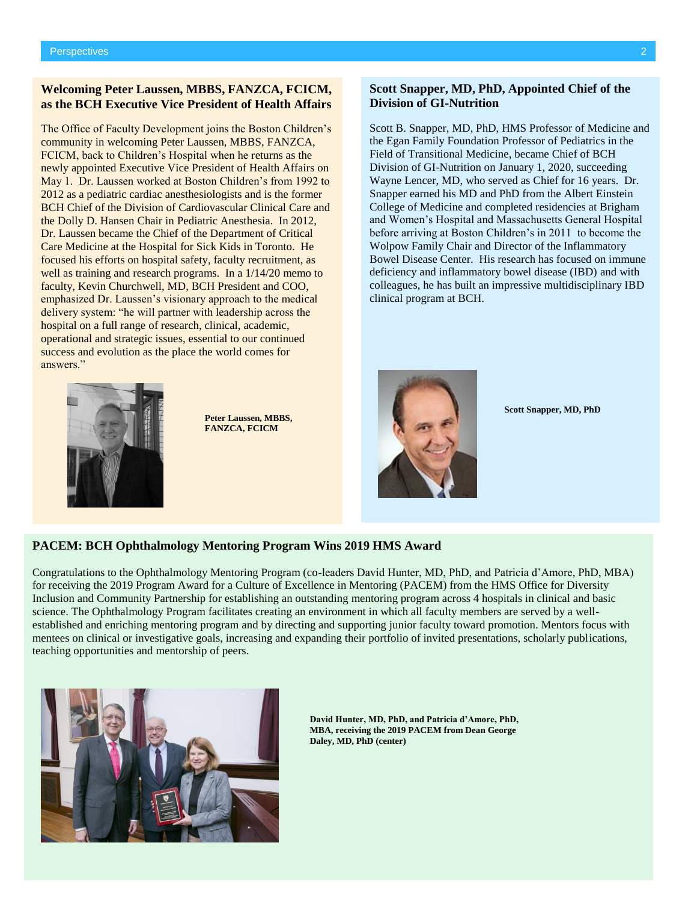#### **Welcoming Peter Laussen, MBBS, FANZCA, FCICM, as the BCH Executive Vice President of Health Affairs**

The Office of Faculty Development joins the Boston Children's community in welcoming Peter Laussen, MBBS, FANZCA, FCICM, back to Children's Hospital when he returns as the newly appointed Executive Vice President of Health Affairs on May 1. Dr. Laussen worked at Boston Children's from 1992 to 2012 as a pediatric cardiac anesthesiologists and is the former BCH Chief of the Division of Cardiovascular Clinical Care and the Dolly D. Hansen Chair in Pediatric Anesthesia. In 2012, Dr. Laussen became the Chief of the Department of Critical Care Medicine at the Hospital for Sick Kids in Toronto. He focused his efforts on hospital safety, faculty recruitment, as well as training and research programs. In a  $1/14/20$  memo to faculty, Kevin Churchwell, MD, BCH President and COO, emphasized Dr. Laussen's visionary approach to the medical delivery system: "he will partner with leadership across the hospital on a full range of research, clinical, academic, operational and strategic issues, essential to our continued success and evolution as the place the world comes for answers."



**Peter Laussen, MBBS, FANZCA, FCICM**

#### **Scott Snapper, MD, PhD, Appointed Chief of the Division of GI-Nutrition**

Scott B. Snapper, MD, PhD, HMS Professor of Medicine and the Egan Family Foundation Professor of Pediatrics in the Field of Transitional Medicine, became Chief of BCH Division of GI-Nutrition on January 1, 2020, succeeding Wayne Lencer, MD, who served as Chief for 16 years. Dr. Snapper earned his MD and PhD from the Albert Einstein College of Medicine and completed residencies at Brigham and Women's Hospital and Massachusetts General Hospital before arriving at Boston Children's in 2011 to become the Wolpow Family Chair and Director of the Inflammatory Bowel Disease Center. His research has focused on immune deficiency and inflammatory bowel disease (IBD) and with colleagues, he has built an impressive multidisciplinary IBD clinical program at BCH.



**Scott Snapper, MD, PhD**

#### **PACEM: BCH Ophthalmology Mentoring Program Wins 2019 HMS Award**

Congratulations to the Ophthalmology Mentoring Program (co-leaders David Hunter, MD, PhD, and Patricia d'Amore, PhD, MBA) for receiving the 2019 Program Award for a Culture of Excellence in Mentoring (PACEM) from the HMS Office for Diversity Inclusion and Community Partnership for establishing an outstanding mentoring program across 4 hospitals in clinical and basic science. The Ophthalmology Program facilitates creating an environment in which all faculty members are served by a wellestablished and enriching mentoring program and by directing and supporting junior faculty toward promotion. Mentors focus with mentees on clinical or investigative goals, increasing and expanding their portfolio of invited presentations, scholarly publications, teaching opportunities and mentorship of peers.



**David Hunter, MD, PhD, and Patricia d'Amore, PhD, MBA, receiving the 2019 PACEM from Dean George Daley, MD, PhD (center)**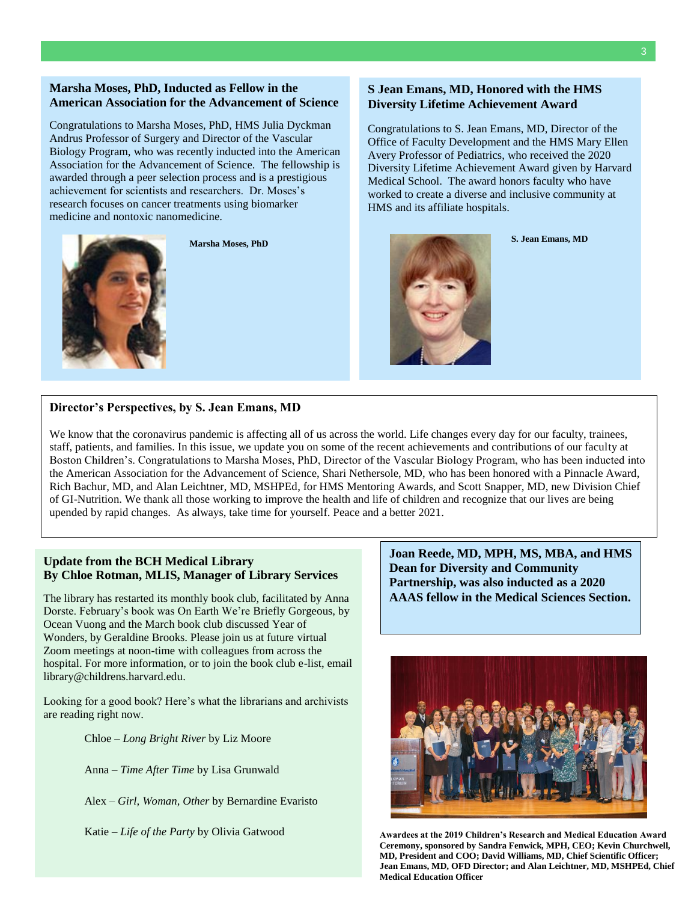#### **Marsha Moses, PhD, Inducted as Fellow in the American Association for the Advancement of Science**

Congratulations to Marsha Moses, PhD, HMS Julia Dyckman Andrus Professor of Surgery and Director of the Vascular Biology Program, who was recently inducted into the American Association for the Advancement of Science. The fellowship is awarded through a peer selection process and is a prestigious achievement for scientists and researchers. Dr. Moses's research focuses on cancer treatments using biomarker medicine and nontoxic nanomedicine.



**Marsha Moses, PhD**

#### **S Jean Emans, MD, Honored with the HMS Diversity Lifetime Achievement Award**

Congratulations to S. Jean Emans, MD, Director of the Office of Faculty Development and the HMS Mary Ellen Avery Professor of Pediatrics, who received the 2020 Diversity Lifetime Achievement Award given by Harvard Medical School. The award honors faculty who have worked to create a diverse and inclusive community at HMS and its affiliate hospitals.



**S. Jean Emans, MD**

#### **Director's Perspectives, by S. Jean Emans, MD**

We know that the coronavirus pandemic is affecting all of us across the world. Life changes every day for our faculty, trainees, staff, patients, and families. In this issue, we update you on some of the recent achievements and contributions of our faculty at Boston Children's. Congratulations to Marsha Moses, PhD, Director of the Vascular Biology Program, who has been inducted into the American Association for the Advancement of Science, Shari Nethersole, MD, who has been honored with a Pinnacle Award, Rich Bachur, MD, and Alan Leichtner, MD, MSHPEd, for HMS Mentoring Awards, and Scott Snapper, MD, new Division Chief of GI-Nutrition. We thank all those working to improve the health and life of children and recognize that our lives are being upended by rapid changes. As always, take time for yourself. Peace and a better 2021.

#### **Update from the BCH Medical Library By Chloe Rotman, MLIS, Manager of Library Services**

The library has restarted its monthly book club, facilitated by Anna Dorste. February's book was On Earth We're Briefly Gorgeous, by Ocean Vuong and the March book club discussed Year of Wonders, by Geraldine Brooks. Please join us at future virtual Zoom meetings at noon-time with colleagues from across the hospital. For more information, or to join the book club e-list, email [library@childrens.harvard.edu.](mailto:library@childrens.harvard.edu)

Looking for a good book? Here's what the librarians and archivists are reading right now.

Chloe – *Long Bright River* by Liz Moore

Anna – *Time After Time* by Lisa Grunwald

Alex – *Girl, Woman, Other* by Bernardine Evaristo

Katie – *Life of the Party* by Olivia Gatwood

**Joan Reede, MD, MPH, MS, MBA, and HMS Dean for Diversity and Community Partnership, was also inducted as a 2020 AAAS fellow in the Medical Sciences Section.**



**Awardees at the 2019 Children's Research and Medical Education Award Ceremony, sponsored by Sandra Fenwick, MPH, CEO; Kevin Churchwell, MD, President and COO; David Williams, MD, Chief Scientific Officer; Jean Emans, MD, OFD Director; and Alan Leichtner, MD, MSHPEd, Chief Medical Education Officer**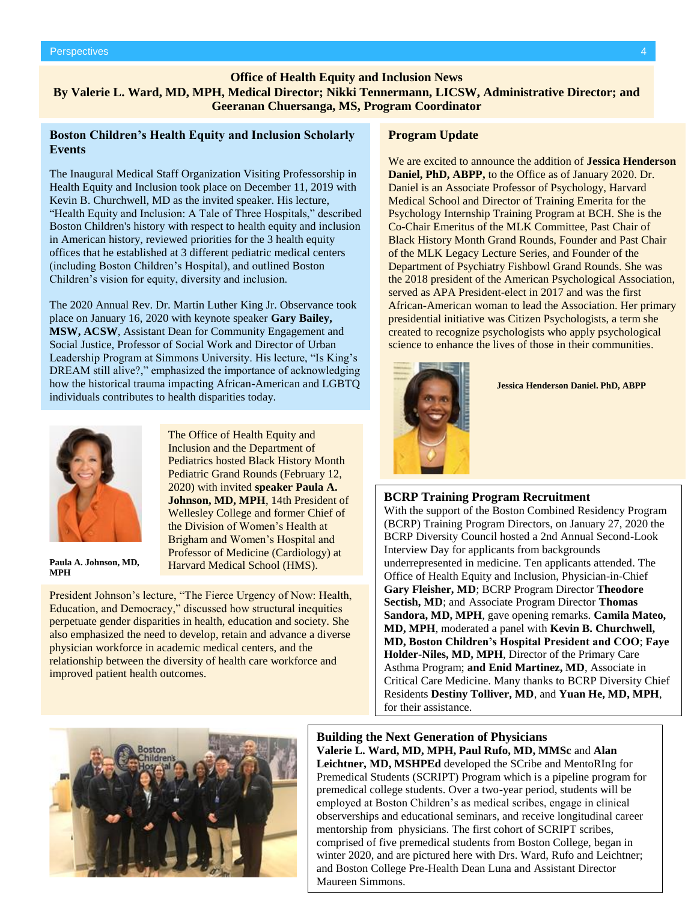#### **Office of Health Equity and Inclusion News**

**By Valerie L. Ward, MD, MPH, Medical Director; Nikki Tennermann, LICSW, Administrative Director; and Geeranan Chuersanga, MS, Program Coordinator**

#### **Boston Children's Health Equity and Inclusion Scholarly Events**

The Inaugural Medical Staff Organization Visiting Professorship in Health Equity and Inclusion took place on December 11, 2019 with Kevin B. Churchwell, MD as the invited speaker. His lecture, "Health Equity and Inclusion: A Tale of Three Hospitals," described Boston Children's history with respect to health equity and inclusion in American history, reviewed priorities for the 3 health equity offices that he established at 3 different pediatric medical centers (including Boston Children's Hospital), and outlined Boston Children's vision for equity, diversity and inclusion.

The 2020 Annual Rev. Dr. Martin Luther King Jr. Observance took place on January 16, 2020 with keynote speaker **Gary Bailey, MSW, ACSW**, Assistant Dean for Community Engagement and Social Justice, Professor of Social Work and Director of Urban Leadership Program at Simmons University. His lecture, "Is King's DREAM still alive?," emphasized the importance of acknowledging how the historical trauma impacting African-American and LGBTQ individuals contributes to health disparities today.

> The Office of Health Equity and Inclusion and the Department of Pediatrics hosted Black History Month Pediatric Grand Rounds (February 12, 2020) with invited **speaker Paula A. Johnson, MD, MPH**, 14th President of Wellesley College and former Chief of the Division of Women's Health at Brigham and Women's Hospital and Professor of Medicine (Cardiology) at Harvard Medical School (HMS).



**Paula A. Johnson, MD, MPH**

President Johnson's lecture, "The Fierce Urgency of Now: Health, Education, and Democracy," discussed how structural inequities perpetuate gender disparities in health, education and society. She also emphasized the need to develop, retain and advance a diverse physician workforce in academic medical centers, and the relationship between the diversity of health care workforce and improved patient health outcomes.

#### **Program Update**

We are excited to announce the addition of **Jessica Henderson Daniel, PhD, ABPP,** to the Office as of January 2020. Dr. Daniel is an Associate Professor of Psychology, Harvard Medical School and Director of Training Emerita for the Psychology Internship Training Program at BCH. She is the Co-Chair Emeritus of the MLK Committee, Past Chair of Black History Month Grand Rounds, Founder and Past Chair of the MLK Legacy Lecture Series, and Founder of the Department of Psychiatry Fishbowl Grand Rounds. She was the 2018 president of the American Psychological Association, served as APA President-elect in 2017 and was the first African-American woman to lead the Association. Her primary presidential initiative was Citizen Psychologists, a term she created to recognize psychologists who apply psychological science to enhance the lives of those in their communities.



**Jessica Henderson Daniel. PhD, ABPP**

#### **BCRP Training Program Recruitment**

With the support of the Boston Combined Residency Program (BCRP) Training Program Directors, on January 27, 2020 the BCRP Diversity Council hosted a 2nd Annual Second-Look Interview Day for applicants from backgrounds underrepresented in medicine. Ten applicants attended. The Office of Health Equity and Inclusion, Physician-in-Chief **Gary Fleisher, MD**; BCRP Program Director **Theodore Sectish, MD**; and Associate Program Director **Thomas Sandora, MD, MPH**, gave opening remarks. **Camila Mateo, MD, MPH**, moderated a panel with **Kevin B. Churchwell, MD, Boston Children's Hospital President and COO**; **Faye Holder-Niles, MD, MPH**, Director of the Primary Care Asthma Program; **and Enid Martinez, MD**, Associate in Critical Care Medicine. Many thanks to BCRP Diversity Chief Residents **Destiny Tolliver, MD**, and **Yuan He, MD, MPH**, for their assistance.



#### **Building the Next Generation of Physicians**

**Valerie L. Ward, MD, MPH, Paul Rufo, MD, MMSc** and **Alan**  Leichtner, MD, MSHPEd developed the SCribe and MentoRIng for Premedical Students (SCRIPT) Program which is a pipeline program for premedical college students. Over a two-year period, students will be employed at Boston Children's as medical scribes, engage in clinical scheme in the new President of the Alumni observerships and educational seminars, and receive longitudinal career mentorship from physicians. The first cohort of SCRIPT scribes, comprised of five premedical students from Boston College, began in winter 2020, and are pictured here with Drs. Ward, Rufo and Leichtner; and Boston College Pre-Health Dean Luna and Assistant Director Maureen Simmons.

Harvard Medical School.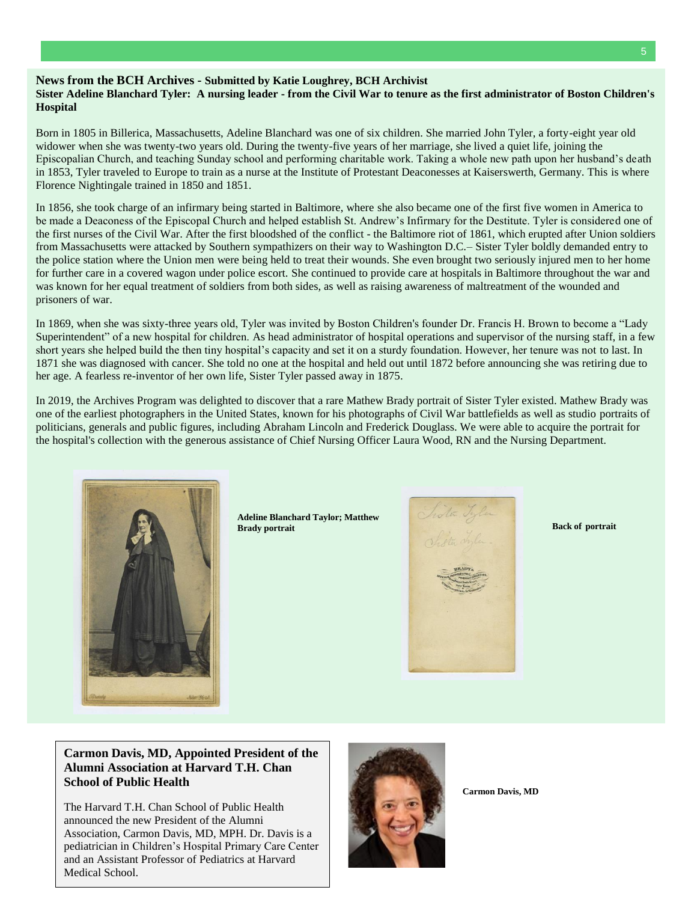#### 5

### **News from the BCH Archives - Submitted by Katie Loughrey, BCH Archivist**

#### **Sister Adeline Blanchard Tyler: A nursing leader - from the Civil War to tenure as the first administrator of Boston Children's Hospital**

Born in 1805 in Billerica, Massachusetts, Adeline Blanchard was one of six children. She married John Tyler, a forty-eight year old widower when she was twenty-two years old. During the twenty-five years of her marriage, she lived a quiet life, joining the Episcopalian Church, and teaching Sunday school and performing charitable work. Taking a whole new path upon her husband's death in 1853, Tyler traveled to Europe to train as a nurse at the Institute of Protestant Deaconesses at Kaiserswerth, Germany. This is where Florence Nightingale trained in 1850 and 1851.

In 1856, she took charge of an infirmary being started in Baltimore, where she also became one of the first five women in America to be made a Deaconess of the Episcopal Church and helped establish St. Andrew's Infirmary for the Destitute. Tyler is considered one of the first nurses of the Civil War. After the first bloodshed of the conflict - the Baltimore riot of 1861, which erupted after Union soldiers from Massachusetts were attacked by Southern sympathizers on their way to Washington D.C.– Sister Tyler boldly demanded entry to the police station where the Union men were being held to treat their wounds. She even brought two seriously injured men to her home for further care in a covered wagon under police escort. She continued to provide care at hospitals in Baltimore throughout the war and was known for her equal treatment of soldiers from both sides, as well as raising awareness of maltreatment of the wounded and prisoners of war.

In 1869, when she was sixty-three years old, Tyler was invited by Boston Children's founder Dr. Francis H. Brown to become a "Lady Superintendent" of a new hospital for children. As head administrator of hospital operations and supervisor of the nursing staff, in a few short years she helped build the then tiny hospital's capacity and set it on a sturdy foundation. However, her tenure was not to last. In 1871 she was diagnosed with cancer. She told no one at the hospital and held out until 1872 before announcing she was retiring due to her age. A fearless re-inventor of her own life, Sister Tyler passed away in 1875.

In 2019, the Archives Program was delighted to discover that a rare Mathew Brady portrait of Sister Tyler existed. Mathew Brady was one of the earliest photographers in the United States, known for his photographs of Civil War battlefields as well as studio portraits of politicians, generals and public figures, including Abraham Lincoln and Frederick Douglass. We were able to acquire the portrait for the hospital's collection with the generous assistance of Chief Nursing Officer Laura Wood, RN and the Nursing Department.



**Adeline Blanchard Taylor; Matthew Brady portrait**



**Back of portrait**

**Carmon Davis, MD, Appointed President of the Alumni Association at Harvard T.H. Chan School of Public Health**

The Harvard T.H. Chan School of Public Health announced the new President of the Alumni Association, Carmon Davis, MD, MPH. Dr. Davis is a pediatrician in Children's Hospital Primary Care Center and an Assistant Professor of Pediatrics at Harvard Medical School.



**Carmon Davis, MD**